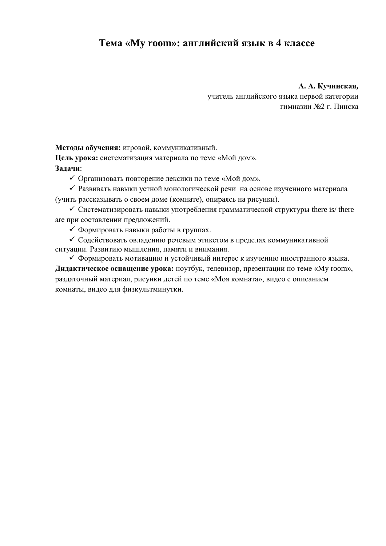## **Тема «My room»: английский язык в 4 классе**

**А. А. Кучинская,** учитель английского языка первой категории гимназии №2 г. Пинска

**Методы обучения:** игровой, коммуникативный.

**Цель урока:** систематизация материала по теме «Мой дом». **Задачи**:

Организовать повторение лексики по теме «Мой дом».

 Развивать навыки устной монологической речи на основе изученного материала (учить рассказывать о своем доме (комнате), опираясь на рисунки).

 $\checkmark$  Систематизировать навыки употребления грамматической структуры there is/there are при составлении предложений.

Формировать навыки работы в группах.

 Содействовать овладению речевым этикетом в пределах коммуникативной ситуации. Развитию мышления, памяти и внимания.

 Формировать мотивацию и устойчивый интерес к изучению иностранного языка. **Дидактическое оснащение урока:** ноутбук, телевизор, презентации по теме «My room», раздаточный материал, рисунки детей по теме «Моя комната», видео с описанием комнаты, видео для физкультминутки.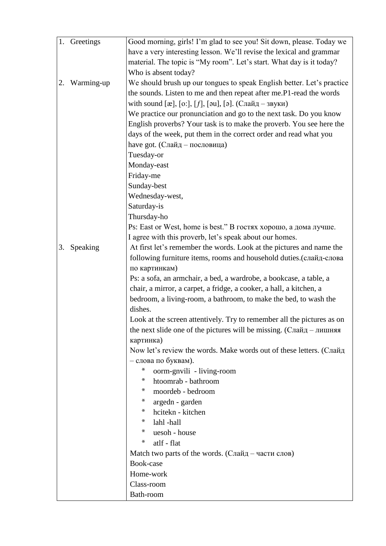|    | 1. Greetings | Good morning, girls! I'm glad to see you! Sit down, please. Today we                       |  |  |  |  |  |  |  |  |  |
|----|--------------|--------------------------------------------------------------------------------------------|--|--|--|--|--|--|--|--|--|
|    |              | have a very interesting lesson. We'll revise the lexical and grammar                       |  |  |  |  |  |  |  |  |  |
|    |              | material. The topic is "My room". Let's start. What day is it today?                       |  |  |  |  |  |  |  |  |  |
|    |              | Who is absent today?                                                                       |  |  |  |  |  |  |  |  |  |
| 2. | Warming-up   | We should brush up our tongues to speak English better. Let's practice                     |  |  |  |  |  |  |  |  |  |
|    |              | the sounds. Listen to me and then repeat after me.P1-read the words                        |  |  |  |  |  |  |  |  |  |
|    |              | with sound [æ], [o:], [f], [әu], [ә]. (Слайд – звуки)                                      |  |  |  |  |  |  |  |  |  |
|    |              | We practice our pronunciation and go to the next task. Do you know                         |  |  |  |  |  |  |  |  |  |
|    |              | English proverbs? Your task is to make the proverb. You see here the                       |  |  |  |  |  |  |  |  |  |
|    |              | days of the week, put them in the correct order and read what you                          |  |  |  |  |  |  |  |  |  |
|    |              | have got. (Слайд – пословица)                                                              |  |  |  |  |  |  |  |  |  |
|    |              | Tuesday-or                                                                                 |  |  |  |  |  |  |  |  |  |
|    |              | Monday-east                                                                                |  |  |  |  |  |  |  |  |  |
|    |              | Friday-me                                                                                  |  |  |  |  |  |  |  |  |  |
|    |              | Sunday-best                                                                                |  |  |  |  |  |  |  |  |  |
|    |              | Wednesday-west,                                                                            |  |  |  |  |  |  |  |  |  |
|    |              | Saturday-is                                                                                |  |  |  |  |  |  |  |  |  |
|    |              | Thursday-ho                                                                                |  |  |  |  |  |  |  |  |  |
|    |              | Ps: East or West, home is best." В гостях хорошо, а дома лучше.                            |  |  |  |  |  |  |  |  |  |
|    |              | I agree with this proverb, let's speak about our homes.                                    |  |  |  |  |  |  |  |  |  |
| 3. | Speaking     | At first let's remember the words. Look at the pictures and name the                       |  |  |  |  |  |  |  |  |  |
|    |              | following furniture items, rooms and household duties. (слайд-слова                        |  |  |  |  |  |  |  |  |  |
|    |              | по картинкам)                                                                              |  |  |  |  |  |  |  |  |  |
|    |              | Ps: a sofa, an armchair, a bed, a wardrobe, a bookcase, a table, a                         |  |  |  |  |  |  |  |  |  |
|    |              | chair, a mirror, a carpet, a fridge, a cooker, a hall, a kitchen, a                        |  |  |  |  |  |  |  |  |  |
|    |              | bedroom, a living-room, a bathroom, to make the bed, to wash the                           |  |  |  |  |  |  |  |  |  |
|    |              | dishes.                                                                                    |  |  |  |  |  |  |  |  |  |
|    |              | Look at the screen attentively. Try to remember all the pictures as on                     |  |  |  |  |  |  |  |  |  |
|    |              | the next slide one of the pictures will be missing. (Слайд – лишняя                        |  |  |  |  |  |  |  |  |  |
|    |              | картинка)                                                                                  |  |  |  |  |  |  |  |  |  |
|    |              | Now let's review the words. Make words out of these letters. (Слайд<br>- слова по буквам). |  |  |  |  |  |  |  |  |  |
|    |              | *<br>oorm-gnvili - living-room                                                             |  |  |  |  |  |  |  |  |  |
|    |              | *<br>htoomrab - bathroom                                                                   |  |  |  |  |  |  |  |  |  |
|    |              | $\ast$<br>moordeb - bedroom                                                                |  |  |  |  |  |  |  |  |  |
|    |              | $\ast$<br>argedn - garden                                                                  |  |  |  |  |  |  |  |  |  |
|    |              | hcitekn - kitchen<br>∗                                                                     |  |  |  |  |  |  |  |  |  |
|    |              | ∗<br>lahl-hall                                                                             |  |  |  |  |  |  |  |  |  |
|    |              | $\ast$<br>uesoh - house                                                                    |  |  |  |  |  |  |  |  |  |
|    |              | atlf - flat<br>x                                                                           |  |  |  |  |  |  |  |  |  |
|    |              | Match two parts of the words. (Слайд – части слов)                                         |  |  |  |  |  |  |  |  |  |
|    |              | Book-case                                                                                  |  |  |  |  |  |  |  |  |  |
|    |              | Home-work                                                                                  |  |  |  |  |  |  |  |  |  |
|    |              | Class-room                                                                                 |  |  |  |  |  |  |  |  |  |
|    |              | Bath-room                                                                                  |  |  |  |  |  |  |  |  |  |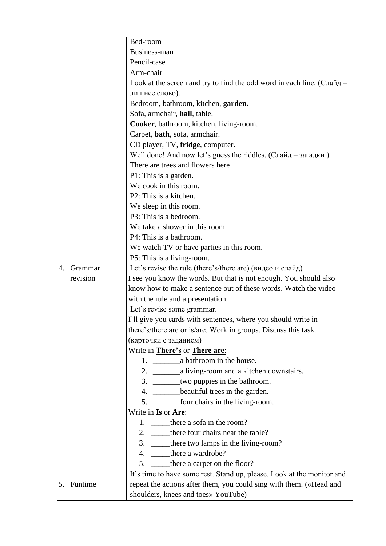|    |            | Bed-room                                                                               |  |  |  |  |  |  |  |  |
|----|------------|----------------------------------------------------------------------------------------|--|--|--|--|--|--|--|--|
|    |            | Business-man                                                                           |  |  |  |  |  |  |  |  |
|    |            | Pencil-case                                                                            |  |  |  |  |  |  |  |  |
|    |            | Arm-chair                                                                              |  |  |  |  |  |  |  |  |
|    |            | Look at the screen and try to find the odd word in each line. $(C\pi a\breve{\mu}_A -$ |  |  |  |  |  |  |  |  |
|    |            | лишнее слово).                                                                         |  |  |  |  |  |  |  |  |
|    |            | Bedroom, bathroom, kitchen, garden.                                                    |  |  |  |  |  |  |  |  |
|    |            | Sofa, armchair, hall, table.                                                           |  |  |  |  |  |  |  |  |
|    |            | Cooker, bathroom, kitchen, living-room.                                                |  |  |  |  |  |  |  |  |
|    |            | Carpet, bath, sofa, armchair.                                                          |  |  |  |  |  |  |  |  |
|    |            | CD player, TV, fridge, computer.                                                       |  |  |  |  |  |  |  |  |
|    |            | Well done! And now let's guess the riddles. (Слайд – загадки)                          |  |  |  |  |  |  |  |  |
|    |            | There are trees and flowers here                                                       |  |  |  |  |  |  |  |  |
|    |            | P1: This is a garden.                                                                  |  |  |  |  |  |  |  |  |
|    |            | We cook in this room.                                                                  |  |  |  |  |  |  |  |  |
|    |            | P2: This is a kitchen.                                                                 |  |  |  |  |  |  |  |  |
|    |            | We sleep in this room.                                                                 |  |  |  |  |  |  |  |  |
|    |            | P3: This is a bedroom.                                                                 |  |  |  |  |  |  |  |  |
|    |            | We take a shower in this room.                                                         |  |  |  |  |  |  |  |  |
|    |            | P4: This is a bathroom.                                                                |  |  |  |  |  |  |  |  |
|    |            | We watch TV or have parties in this room.                                              |  |  |  |  |  |  |  |  |
|    |            | P5: This is a living-room.                                                             |  |  |  |  |  |  |  |  |
| 4. | Grammar    | Let's revise the rule (there's/there are) (видео и слайд)                              |  |  |  |  |  |  |  |  |
|    | revision   | I see you know the words. But that is not enough. You should also                      |  |  |  |  |  |  |  |  |
|    |            | know how to make a sentence out of these words. Watch the video                        |  |  |  |  |  |  |  |  |
|    |            | with the rule and a presentation.                                                      |  |  |  |  |  |  |  |  |
|    |            | Let's revise some grammar.                                                             |  |  |  |  |  |  |  |  |
|    |            | I'll give you cards with sentences, where you should write in                          |  |  |  |  |  |  |  |  |
|    |            | there's/there are or is/are. Work in groups. Discuss this task.                        |  |  |  |  |  |  |  |  |
|    |            | (карточки с заданием)                                                                  |  |  |  |  |  |  |  |  |
|    |            | Write in <b>There's</b> or <b>There are:</b>                                           |  |  |  |  |  |  |  |  |
|    |            |                                                                                        |  |  |  |  |  |  |  |  |
|    |            |                                                                                        |  |  |  |  |  |  |  |  |
|    |            | 3. ________two puppies in the bathroom.                                                |  |  |  |  |  |  |  |  |
|    |            | 4. ________beautiful trees in the garden.                                              |  |  |  |  |  |  |  |  |
|    |            | 5. ________________four chairs in the living-room.                                     |  |  |  |  |  |  |  |  |
|    |            | Write in <b>Is</b> or <b>Are:</b>                                                      |  |  |  |  |  |  |  |  |
|    |            | 1. there a sofa in the room?                                                           |  |  |  |  |  |  |  |  |
|    |            | 2. _______there four chairs near the table?                                            |  |  |  |  |  |  |  |  |
|    |            | 3. _____there two lamps in the living-room?                                            |  |  |  |  |  |  |  |  |
|    |            | 4. ______ there a wardrobe?                                                            |  |  |  |  |  |  |  |  |
|    |            | 5. _______ there a carpet on the floor?                                                |  |  |  |  |  |  |  |  |
|    |            | It's time to have some rest. Stand up, please. Look at the monitor and                 |  |  |  |  |  |  |  |  |
|    | 5. Funtime | repeat the actions after them, you could sing with them. («Head and                    |  |  |  |  |  |  |  |  |
|    |            | shoulders, knees and toes» YouTube)                                                    |  |  |  |  |  |  |  |  |
|    |            |                                                                                        |  |  |  |  |  |  |  |  |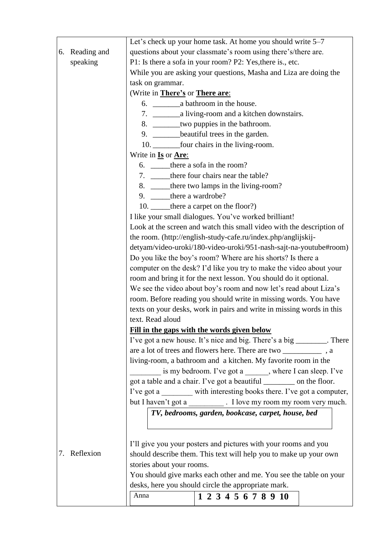|                 | Let's check up your home task. At home you should write 5–7             |  |  |  |  |  |  |  |  |  |
|-----------------|-------------------------------------------------------------------------|--|--|--|--|--|--|--|--|--|
| 6. Reading and  | questions about your classmate's room using there's/there are.          |  |  |  |  |  |  |  |  |  |
| speaking        | P1: Is there a sofa in your room? P2: Yes, there is., etc.              |  |  |  |  |  |  |  |  |  |
|                 | While you are asking your questions, Masha and Liza are doing the       |  |  |  |  |  |  |  |  |  |
|                 | task on grammar.                                                        |  |  |  |  |  |  |  |  |  |
|                 | (Write in There's or There are:                                         |  |  |  |  |  |  |  |  |  |
|                 |                                                                         |  |  |  |  |  |  |  |  |  |
|                 |                                                                         |  |  |  |  |  |  |  |  |  |
|                 | 8. ________two puppies in the bathroom.                                 |  |  |  |  |  |  |  |  |  |
|                 | 9. ________beautiful trees in the garden.                               |  |  |  |  |  |  |  |  |  |
|                 | 10. _________ four chairs in the living-room.                           |  |  |  |  |  |  |  |  |  |
|                 | Write in <b>Is</b> or <b>Are:</b>                                       |  |  |  |  |  |  |  |  |  |
|                 | 6. _______ there a sofa in the room?                                    |  |  |  |  |  |  |  |  |  |
|                 | 7. _______ there four chairs near the table?                            |  |  |  |  |  |  |  |  |  |
|                 | 8. ______there two lamps in the living-room?                            |  |  |  |  |  |  |  |  |  |
|                 | 9. _____there a wardrobe?                                               |  |  |  |  |  |  |  |  |  |
|                 | 10. ______ there a carpet on the floor?)                                |  |  |  |  |  |  |  |  |  |
|                 | I like your small dialogues. You've worked brilliant!                   |  |  |  |  |  |  |  |  |  |
|                 | Look at the screen and watch this small video with the description of   |  |  |  |  |  |  |  |  |  |
|                 | the room. (http://english-study-cafe.ru/index.php/anglijskij-           |  |  |  |  |  |  |  |  |  |
|                 | detyam/video-uroki/180-video-uroki/951-nash-sajt-na-youtube#room)       |  |  |  |  |  |  |  |  |  |
|                 | Do you like the boy's room? Where are his shorts? Is there a            |  |  |  |  |  |  |  |  |  |
|                 | computer on the desk? I'd like you try to make the video about your     |  |  |  |  |  |  |  |  |  |
|                 | room and bring it for the next lesson. You should do it optional.       |  |  |  |  |  |  |  |  |  |
|                 | We see the video about boy's room and now let's read about Liza's       |  |  |  |  |  |  |  |  |  |
|                 | room. Before reading you should write in missing words. You have        |  |  |  |  |  |  |  |  |  |
|                 | texts on your desks, work in pairs and write in missing words in this   |  |  |  |  |  |  |  |  |  |
|                 | text. Read aloud                                                        |  |  |  |  |  |  |  |  |  |
|                 | Fill in the gaps with the words given below                             |  |  |  |  |  |  |  |  |  |
|                 | I've got a new house. It's nice and big. There's a big _________. There |  |  |  |  |  |  |  |  |  |
|                 |                                                                         |  |  |  |  |  |  |  |  |  |
|                 | living-room, a bathroom and a kitchen. My favorite room in the          |  |  |  |  |  |  |  |  |  |
|                 | is my bedroom. I've got a ______, where I can sleep. I've               |  |  |  |  |  |  |  |  |  |
|                 | got a table and a chair. I've got a beautiful _________ on the floor.   |  |  |  |  |  |  |  |  |  |
|                 | I've got a ________ with interesting books there. I've got a computer,  |  |  |  |  |  |  |  |  |  |
|                 | but I haven't got a ____________. I love my room my room very much.     |  |  |  |  |  |  |  |  |  |
|                 | TV, bedrooms, garden, bookcase, carpet, house, bed                      |  |  |  |  |  |  |  |  |  |
|                 |                                                                         |  |  |  |  |  |  |  |  |  |
|                 | I'll give you your posters and pictures with your rooms and you         |  |  |  |  |  |  |  |  |  |
| Reflexion<br>7. | should describe them. This text will help you to make up your own       |  |  |  |  |  |  |  |  |  |
|                 | stories about your rooms.                                               |  |  |  |  |  |  |  |  |  |
|                 | You should give marks each other and me. You see the table on your      |  |  |  |  |  |  |  |  |  |
|                 | desks, here you should circle the appropriate mark.                     |  |  |  |  |  |  |  |  |  |
|                 | Anna<br>1 2 3 4 5 6 7 8 9 10                                            |  |  |  |  |  |  |  |  |  |